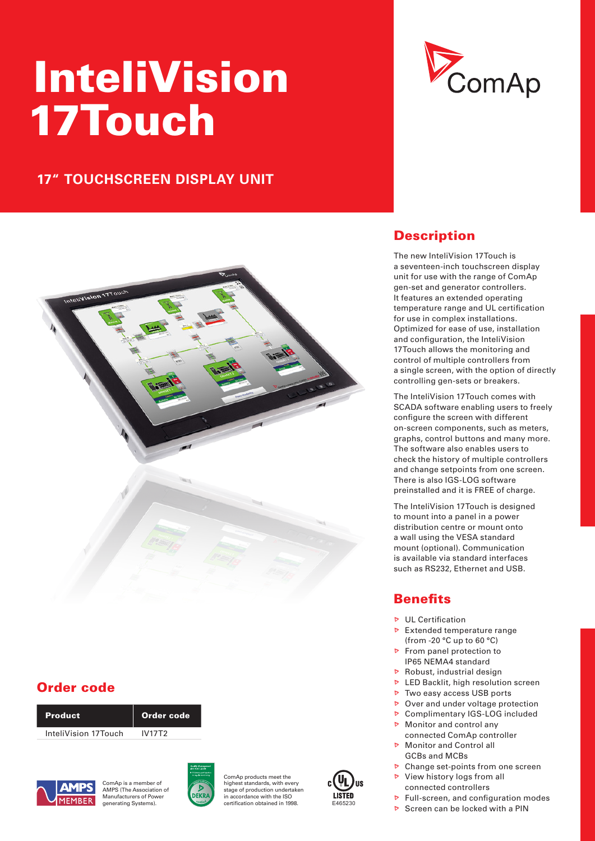# InteliVision 17Touch

# **17" TOUCHSCREEN DISPLAY UNIT**



# Order code

| <b>Product</b>       | Order code |
|----------------------|------------|
| InteliVision 17Touch | IV17T2     |



ComAp is a member of AMPS (The Association of Manufacturers of Power



ComAp products meet the highest standards, with even stage of production undertaken in accordance with the ISO generating Systems). Certification obtained in 1998. E465230





# **Description**

The new InteliVision 17Touch is a seventeen-inch touchscreen display unit for use with the range of ComAp gen-set and generator controllers. It features an extended operating temperature range and UL certification for use in complex installations. Optimized for ease of use, installation and configuration, the InteliVision 17Touch allows the monitoring and control of multiple controllers from a single screen, with the option of directly controlling gen-sets or breakers.

The InteliVision 17Touch comes with SCADA software enabling users to freely configure the screen with different on-screen components, such as meters, graphs, control buttons and many more. The software also enables users to check the history of multiple controllers and change setpoints from one screen. There is also IGS-LOG software preinstalled and it is FREE of charge.

The InteliVision 17Touch is designed to mount into a panel in a power distribution centre or mount onto a wall using the VESA standard mount (optional). Communication is available via standard interfaces such as RS232, Ethernet and USB.

# **Benefits**

- **D** UL Certification
- $\triangleright$  Extended temperature range (from -20 °C up to 60 °C)
- From panel protection to IP65 NEMA4 standard
- $\triangleright$  Robust, industrial design
- **D** LED Backlit, high resolution screen
- $\triangleright$  Two easy access USB ports
- **▷** Over and under voltage protection ▶ Complimentary IGS-LOG included
- Monitor and control any
- connected ComAp controller
- Monitor and Control all GCBs and MCBs
- $\triangleright$  Change set-points from one screen
- View history logs from all connected controllers
- $\triangleright$  Full-screen, and configuration modes
- Screen can be locked with a PIN